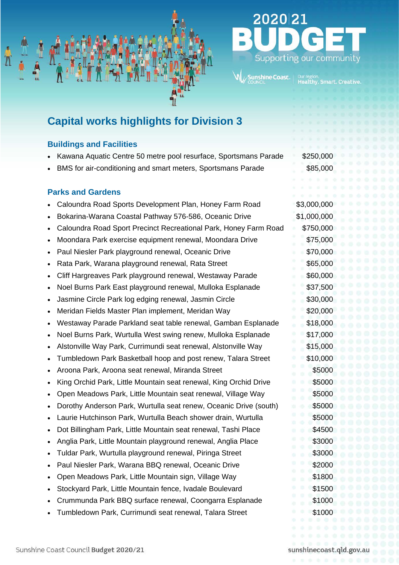

nshine Coast

# **Capital works highlights for Division 3**

## **Buildings and Facilities**

- Kawana Aquatic Centre 50 metre pool resurface, Sportsmans Parade \$250,000
- BMS for air-conditioning and smart meters, Sportsmans Parade \$85,000

# **Parks and Gardens**

- Caloundra Road Sports Development Plan, Honey Farm Road \$3,000,000
- Bokarina-Warana Coastal Pathway 576-586, Oceanic Drive \$1,000,000
- Caloundra Road Sport Precinct Recreational Park, Honey Farm Road \$750,000
- Moondara Park exercise equipment renewal, Moondara Drive \$75,000
- Paul Niesler Park playground renewal, Oceanic Drive **\$70,000** \$70,000
- **Park, Warana playground renewal, Rata Street \$65,000 \$65,000**
- Cliff Hargreaves Park playground renewal, Westaway Parade \$60,000
- **Noel Burns Park East playground renewal, Mulloka Esplanade \$37,500**
- Jasmine Circle Park log edging renewal, Jasmin Circle **\$30,000**
- Meridan Fields Master Plan implement, Meridan Way \$20,000
- Westaway Parade Parkland seat table renewal, Gamban Esplanade \$18,000
- Noel Burns Park, Wurtulla West swing renew, Mulloka Esplanade \$17,000
- Alstonville Way Park, Currimundi seat renewal, Alstonville Way \$15,000
- Tumbledown Park Basketball hoop and post renew, Talara Street \$10,000
- Aroona Park, Aroona seat renewal, Miranda Street \$5000
- King Orchid Park, Little Mountain seat renewal, King Orchid Drive \$5000
- Open Meadows Park, Little Mountain seat renewal, Village Way \$5000
- **Dorothy Anderson Park, Wurtulla seat renew, Oceanic Drive (south)** \$5000
- Laurie Hutchinson Park, Wurtulla Beach shower drain, Wurtulla \$5000
- **Dot Billingham Park, Little Mountain seat renewal, Tashi Place \$4500 \$4500**
- Anglia Park, Little Mountain playground renewal, Anglia Place \$3000
- Tuldar Park, Wurtulla playground renewal, Piringa Street \$3000
- Paul Niesler Park, Warana BBQ renewal, Oceanic Drive **\$2000** \$2000
- Open Meadows Park, Little Mountain sign, Village Way \$1800
- Stockyard Park, Little Mountain fence, Ivadale Boulevard \$1500
- Crummunda Park BBQ surface renewal, Coongarra Esplanade \$1000
- Tumbledown Park, Currimundi seat renewal, Talara Street \$1000